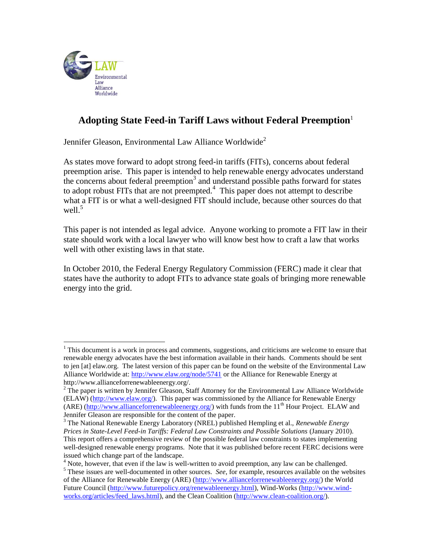

 $\overline{a}$ 

# **Adopting State Feed-in Tariff Laws without Federal Preemption**<sup>1</sup>

Jennifer Gleason, Environmental Law Alliance Worldwide<sup>2</sup>

As states move forward to adopt strong feed-in tariffs (FITs), concerns about federal preemption arise. This paper is intended to help renewable energy advocates understand the concerns about federal preemption<sup>3</sup> and understand possible paths forward for states to adopt robust FITs that are not preempted. $4$  This paper does not attempt to describe what a FIT is or what a well-designed FIT should include, because other sources do that well. $5$ 

This paper is not intended as legal advice. Anyone working to promote a FIT law in their state should work with a local lawyer who will know best how to craft a law that works well with other existing laws in that state.

In October 2010, the Federal Energy Regulatory Commission (FERC) made it clear that states have the authority to adopt FITs to advance state goals of bringing more renewable energy into the grid.

 $<sup>1</sup>$  This document is a work in process and comments, suggestions, and criticisms are welcome to ensure that</sup> renewable energy advocates have the best information available in their hands. Comments should be sent to jen [at] elaw.org. The latest version of this paper can be found on the website of the Environmental Law Alliance Worldwide at:<http://www.elaw.org/node/5741> or the Alliance for Renewable Energy at http://www.allianceforrenewableenergy.org/.

 $2$  The paper is written by Jennifer Gleason, Staff Attorney for the Environmental Law Alliance Worldwide (ELAW) [\(http://www.elaw.org/\)](http://www.elaw.org/). This paper was commissioned by the Alliance for Renewable Energy (ARE) [\(http://www.allianceforrenewableenergy.org/\)](http://www.allianceforrenewableenergy.org/) with funds from the 11<sup>th</sup> Hour Project. ELAW and Jennifer Gleason are responsible for the content of the paper.

<sup>3</sup> The National Renewable Energy Laboratory (NREL) published Hempling et al., *Renewable Energy Prices in State-Level Feed-in Tariffs: Federal Law Constraints and Possible Solutions* (January 2010). This report offers a comprehensive review of the possible federal law constraints to states implementing well-designed renewable energy programs. Note that it was published before recent FERC decisions were issued which change part of the landscape.

<sup>&</sup>lt;sup>4</sup> Note, however, that even if the law is well-written to avoid preemption, any law can be challenged. <sup>5</sup> These issues are well-documented in other sources. *See*, for example, resources available on the websites of the Alliance for Renewable Energy (ARE) [\(http://www.allianceforrenewableenergy.org/\)](http://www.allianceforrenewableenergy.org/) the World Future Council [\(http://www.futurepolicy.org/renewableenergy.html\)](http://www.futurepolicy.org/renewableenergy.html), Wind-Works [\(http://www.wind](http://www.wind-works.org/articles/feed_laws.html)[works.org/articles/feed\\_laws.html\)](http://www.wind-works.org/articles/feed_laws.html), and the Clean Coalition [\(http://www.clean-coalition.org/\)](http://www.clean-coalition.org/).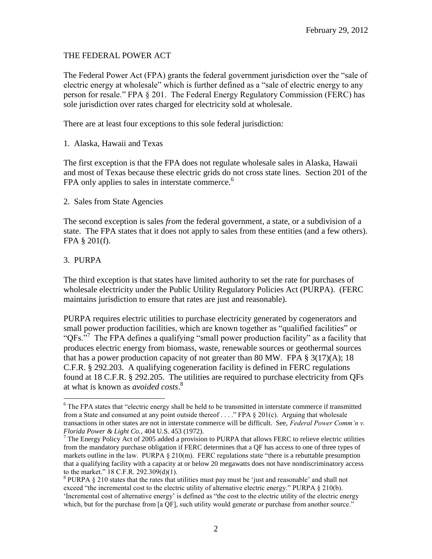## THE FEDERAL POWER ACT

The Federal Power Act (FPA) grants the federal government jurisdiction over the "sale of electric energy at wholesale" which is further defined as a "sale of electric energy to any person for resale." FPA § 201. The Federal Energy Regulatory Commission (FERC) has sole iurisdiction over rates charged for electricity sold at wholesale.

There are at least four exceptions to this sole federal jurisdiction:

1. Alaska, Hawaii and Texas

The first exception is that the FPA does not regulate wholesale sales in Alaska, Hawaii and most of Texas because these electric grids do not cross state lines. Section 201 of the FPA only applies to sales in interstate commerce.<sup>6</sup>

#### 2. Sales from State Agencies

The second exception is sales *from* the federal government, a state, or a subdivision of a state. The FPA states that it does not apply to sales from these entities (and a few others). FPA § 201(f).

#### 3. PURPA

 $\overline{a}$ 

The third exception is that states have limited authority to set the rate for purchases of wholesale electricity under the Public Utility Regulatory Policies Act (PURPA). (FERC maintains jurisdiction to ensure that rates are just and reasonable).

PURPA requires electric utilities to purchase electricity generated by cogenerators and small power production facilities, which are known together as "qualified facilities" or "QFs.<sup>57</sup> The FPA defines a qualifying "small power production facility" as a facility that produces electric energy from biomass, waste, renewable sources or geothermal sources that has a power production capacity of not greater than 80 MW. FPA  $\S 3(17)(A)$ ; 18 C.F.R. § 292.203. A qualifying cogeneration facility is defined in FERC regulations found at 18 C.F.R. § 292.205. The utilities are required to purchase electricity from QFs at what is known as *avoided costs*. 8

<sup>&</sup>lt;sup>6</sup> The FPA states that "electric energy shall be held to be transmitted in interstate commerce if transmitted from a State and consumed at any point outside thereof . . . ." FPA § 201(c). Arguing that wholesale transactions in other states are not in interstate commerce will be difficult. See, *Federal Power Comm'n v. Florida Power & Light Co.*, 404 U.S. 453 (1972).

 $<sup>7</sup>$  The Energy Policy Act of 2005 added a provision to PURPA that allows FERC to relieve electric utilities</sup> from the mandatory purchase obligation if FERC determines that a QF has access to one of three types of markets outline in the law. PURPA  $\S 210(m)$ . FERC regulations state "there is a rebuttable presumption that a qualifying facility with a capacity at or below 20 megawatts does not have nondiscriminatory access to the market." 18 C.F.R. 292.309(d)(1).

<sup>&</sup>lt;sup>8</sup> PURPA  $\S$  210 states that the rates that utilities must pay must be 'just and reasonable' and shall not exceed "the incremental cost to the electric utility of alternative electric energy." PURPA § 210(b). "Incremental cost of alternative energy" is defined as "the cost to the electric utility of the electric energy which, but for the purchase from [a QF], such utility would generate or purchase from another source."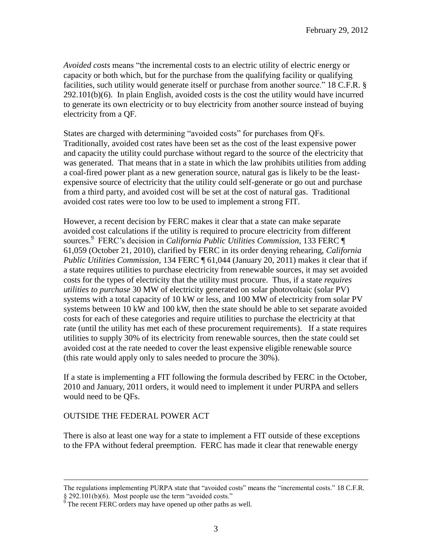*Avoided costs* means "the incremental costs to an electric utility of electric energy or capacity or both which, but for the purchase from the qualifying facility or qualifying facilities, such utility would generate itself or purchase from another source." 18 C.F.R. § 292.101(b)(6). In plain English, avoided costs is the cost the utility would have incurred to generate its own electricity or to buy electricity from another source instead of buying electricity from a QF.

States are charged with determining "avoided costs" for purchases from QFs. Traditionally, avoided cost rates have been set as the cost of the least expensive power and capacity the utility could purchase without regard to the source of the electricity that was generated. That means that in a state in which the law prohibits utilities from adding a coal-fired power plant as a new generation source, natural gas is likely to be the leastexpensive source of electricity that the utility could self-generate or go out and purchase from a third party, and avoided cost will be set at the cost of natural gas. Traditional avoided cost rates were too low to be used to implement a strong FIT.

However, a recent decision by FERC makes it clear that a state can make separate avoided cost calculations if the utility is required to procure electricity from different sources. 9 FERC"s decision in *California Public Utilities Commission*, 133 FERC ¶ 61,059 (October 21, 2010), clarified by FERC in its order denying rehearing, *[California](http://elibrary.ferc.gov/idmws/common/OpenNat.asp?fileID=12539290)  [Public Utilities Commission,](http://elibrary.ferc.gov/idmws/common/OpenNat.asp?fileID=12539290)* 134 FERC ¶ 61,044 (January 20, 2011) makes it clear that if a state requires utilities to purchase electricity from renewable sources, it may set avoided costs for the types of electricity that the utility must procure. Thus, if a state *requires utilities to purchase* 30 MW of electricity generated on solar photovoltaic (solar PV) systems with a total capacity of 10 kW or less, and 100 MW of electricity from solar PV systems between 10 kW and 100 kW, then the state should be able to set separate avoided costs for each of these categories and require utilities to purchase the electricity at that rate (until the utility has met each of these procurement requirements). If a state requires utilities to supply 30% of its electricity from renewable sources, then the state could set avoided cost at the rate needed to cover the least expensive eligible renewable source (this rate would apply only to sales needed to procure the 30%).

If a state is implementing a FIT following the formula described by FERC in the October, 2010 and January, 2011 orders, it would need to implement it under PURPA and sellers would need to be QFs.

#### OUTSIDE THE FEDERAL POWER ACT

 $\overline{a}$ 

There is also at least one way for a state to implement a FIT outside of these exceptions to the FPA without federal preemption. FERC has made it clear that renewable energy

The regulations implementing PURPA state that "avoided costs" means the "incremental costs." 18 C.F.R. § 292.101(b)(6). Most people use the term "avoided costs."

 $\frac{9}{9}$  The recent FERC orders may have opened up other paths as well.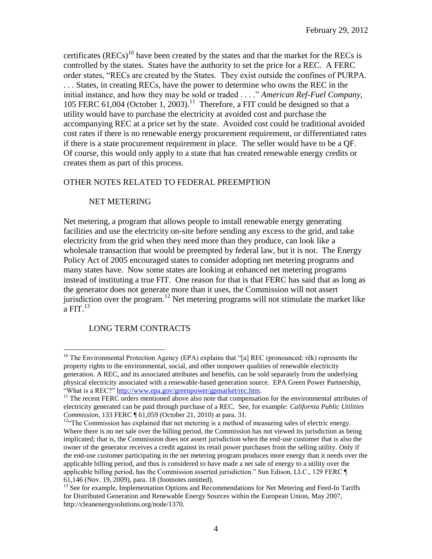certificates ( $RECs$ )<sup>10</sup> have been created by the states and that the market for the RECs is controlled by the states. States have the authority to set the price for a REC. A FERC order states, "RECs are created by the States. They exist outside the confines of PURPA. . . . States, in creating RECs, have the power to determine who owns the REC in the initial instance, and how they may be sold or traded . . . ." *American Ref-Fuel Company*, 105 FERC 61,004 (October 1, 2003).<sup>11</sup> Therefore, a FIT could be designed so that a utility would have to purchase the electricity at avoided cost and purchase the accompanying REC at a price set by the state. Avoided cost could be traditional avoided cost rates if there is no renewable energy procurement requirement, or differentiated rates if there is a state procurement requirement in place. The seller would have to be a QF. Of course, this would only apply to a state that has created renewable energy credits or creates them as part of this process.

## OTHER NOTES RELATED TO FEDERAL PREEMPTION

## NET METERING

Net metering, a program that allows people to install renewable energy generating facilities and use the electricity on-site before sending any excess to the grid, and take electricity from the grid when they need more than they produce, can look like a wholesale transaction that would be preempted by federal law, but it is not. The Energy Policy Act of 2005 encouraged states to consider adopting net metering programs and many states have. Now some states are looking at enhanced net metering programs instead of instituting a true FIT. One reason for that is that FERC has said that as long as the generator does not generate more than it uses, the Commission will not assert jurisdiction over the program.<sup>12</sup> Net metering programs will not stimulate the market like a FIT. $^{13}$ 

## LONG TERM CONTRACTS

 $\overline{a}$ 

<sup>&</sup>lt;sup>10</sup> The Environmental Protection Agency (EPA) explains that "[a] REC (pronounced: rěk) represents the property rights to the environmental, social, and other nonpower qualities of renewable electricity generation. A REC, and its associated attributes and benefits, can be sold separately from the underlying physical electricity associated with a renewable-based generation source. EPA Green Power Partnership, "What is a REC?" http://www.epa.gov/greenpower/gpmarket/rec.htm.

<sup>&</sup>lt;sup>11</sup> The recent FERC orders mentioned above also note that compensation for the environmental attributes of electricity generated can be paid through purchase of a REC. See, for example: *California Public Utilities Commission*, 133 FERC ¶ 61,059 (October 21, 2010) at para. 31.

<sup>&</sup>lt;sup>12"</sup>The Commission has explained that net metering is a method of measuring sales of electric energy. Where there is no net sale over the billing period, the Commission has not viewed its jurisdiction as being implicated; that is, the Commission does not assert jurisdiction when the end-use customer that is also the owner of the generator receives a credit against its retail power purchases from the selling utility. Only if the end-use customer participating in the net metering program produces more energy than it needs over the applicable billing period, and thus is considered to have made a net sale of energy to a utility over the applicable billing period, has the Commission asserted jurisdiction." Sun Edison, LLC., 129 FERC ¶ 61,146 (Nov. 19, 2009), para. 18 (footnotes omitted).

<sup>&</sup>lt;sup>13</sup> See for example, Implementation Options and Recommendations for Net Metering and Feed-In Tariffs for Distributed Generation and Renewable Energy Sources within the European Union, May 2007, http://cleanenergysolutions.org/node/1370.